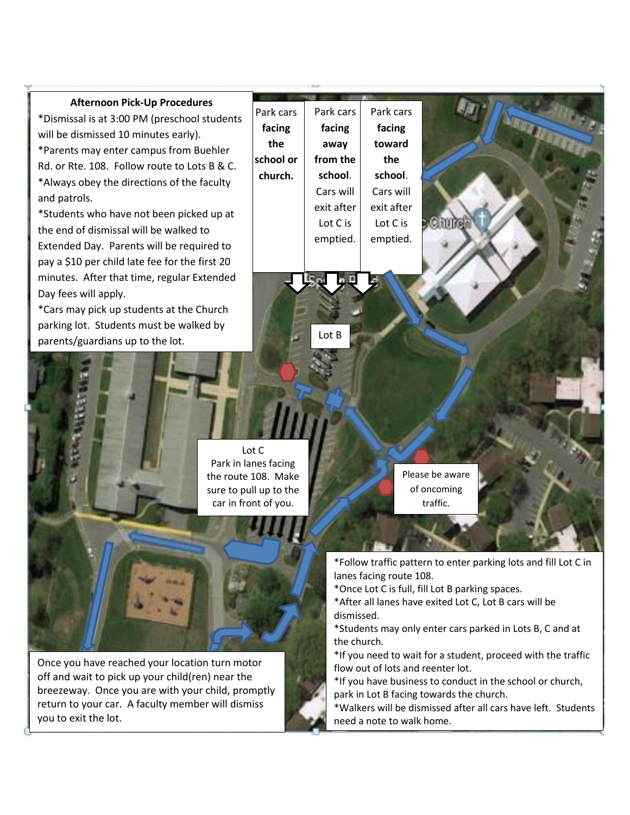## **Afternoon Pick-Up Procedures**

\*Dismissal is at 3:00 PM (preschool students will be dismissed 10 minutes early). \*Parents may enter campus from Buehler Rd. or Rte. 108. Follow route to Lots B & C. \*Always obey the directions of the faculty and patrols.

\*Students who have not been picked up at the end of dismissal will be walked to Extended Day. Parents will be required to pay a \$10 per child late fee for the first 20 minutes. After that time, regular Extended Day fees will apply.

\*Cars may pick up students at the Church parking lot. Students must be walked by parents/guardians up to the lot.

| Park cars | Park cars  | Park cars  |  |
|-----------|------------|------------|--|
| facing    | facing     | facing     |  |
| the       | away       | toward     |  |
| school or | from the   | the        |  |
| church.   | school.    | school.    |  |
|           | Cars will  | Cars will  |  |
|           | exit after | exit after |  |
|           | Lot C is   | Lot C is   |  |
|           | emptied.   | emptied.   |  |
|           |            |            |  |
|           |            |            |  |

Lot C Park in lanes facing the route 108. Make sure to pull up to the

P

Lot B

car in front of you.

Please be aware of oncoming traffic.

\*Follow traffic pattern to enter parking lots and fill Lot C in lanes facing route 108.

\*Once Lot C is full, fill Lot B parking spaces.

\*After all lanes have exited Lot C, Lot B cars will be dismissed.

\*Students may only enter cars parked in Lots B, C and at the church.

\*If you need to wait for a student, proceed with the traffic flow out of lots and reenter lot.

\*If you have business to conduct in the school or church, park in Lot B facing towards the church.

\*Walkers will be dismissed after all cars have left. Students need a note to walk home.

Once you have reached your location turn motor off and wait to pick up your child(ren) near the breezeway. Once you are with your child, promptly return to your car. A faculty member will dismiss you to exit the lot.